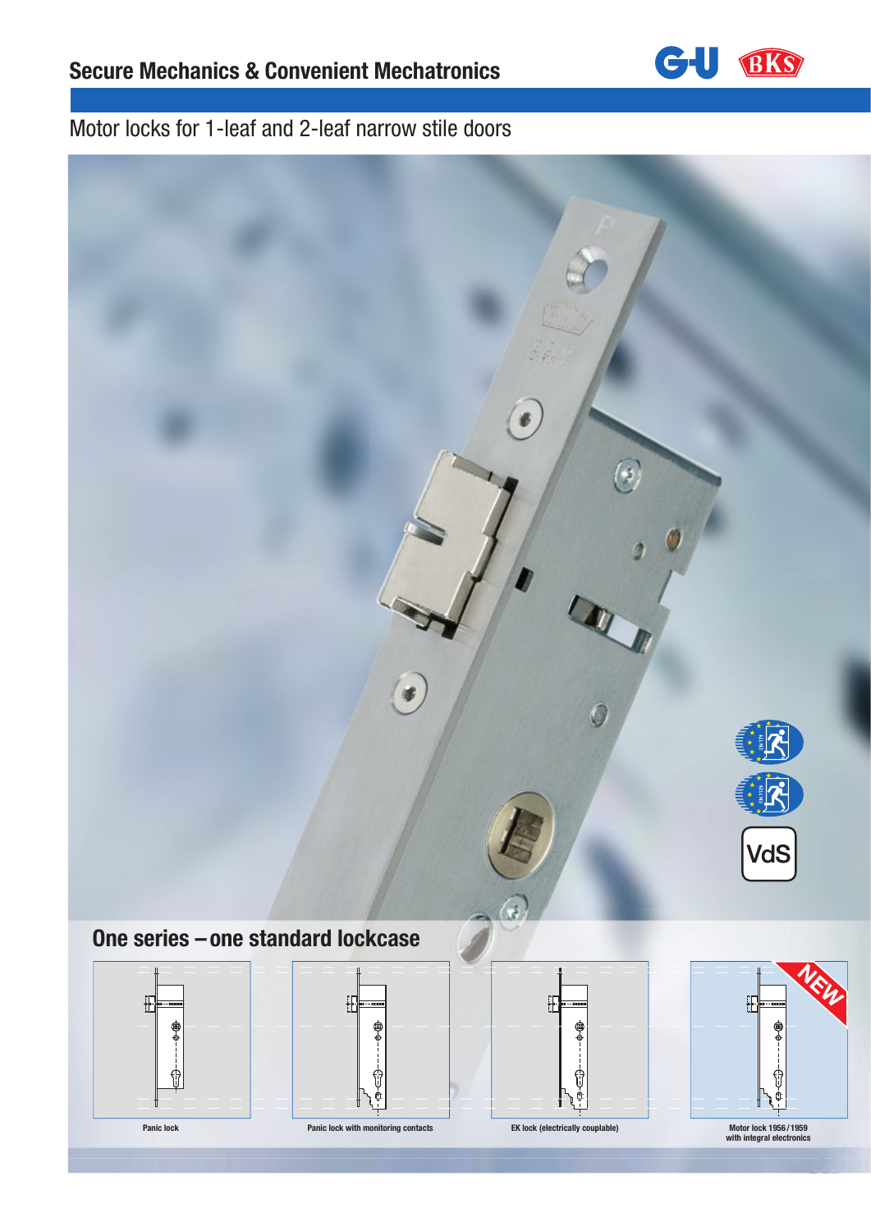

## Motor locks for 1-leaf and 2-leaf narrow stile doors